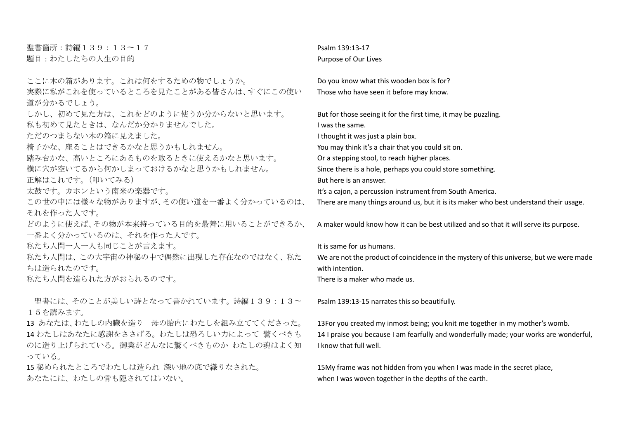聖書箇所:詩編139:13〜17 題目:わたしたちの人生の目的

ここに木の箱があります。これは何をするための物でしょうか。 実際に私がこれを使っているところを見たことがある皆さんは、すぐにこの使い 道が分かるでしょう。 しかし、初めて見た方は、これをどのように使うか分からないと思います。 私も初めて見たときは、なんだか分かりませんでした。 ただのつまらない木の箱に見えました。 椅子かな、座ることはできるかなと思うかもしれません。 踏み台かな、高いところにあるものを取るときに使えるかなと思います。 横に穴が空いてるから何かしまっておけるかなと思うかもしれません。 正解はこれです。(叩いてみる) 太鼓です。カホンという南米の楽器です。 この世の中には様々な物がありますが、その使い道を一番よく分かっているのは、 それを作った人です。 どのように使えば、その物が本来持っている目的を最善に用いることができるか、 一番よく分かっているのは、それを作った人です。 私たち人間一人一人も同じことが言えます。 私たち人間は、この大宇宙の神秘の中で偶然に出現した存在なのではなく、私た ちは造られたのです。 私たち人間を造られた方がおられるのです。

聖書には、そのことが美しい詩となって書かれています。詩編139:13~ 15を読みます。

13 あなたは、わたしの内臓を造り 母の胎内にわたしを組み立ててくださった。 14 わたしはあなたに感謝をささげる。わたしは恐ろしい力によって 驚くべきも のに造り上げられている。御業がどんなに驚くべきものか わたしの魂はよく知 っている。

15 秘められたところでわたしは造られ 深い地の底で織りなされた。 あなたには、わたしの骨も隠されてはいない。

Psalm 139:13-17 Purpose of Our Lives

Do you know what this wooden box is for? Those who have seen it before may know.

But for those seeing it for the first time, it may be puzzling. I was the same. I thought it was just a plain box. You may think it's a chair that you could sit on. Or a stepping stool, to reach higher places. Since there is a hole, perhaps you could store something. But here is an answer. It's a cajon, a percussion instrument from South America.

There are many things around us, but it is its maker who best understand their usage.

A maker would know how it can be best utilized and so that it will serve its purpose.

It is same for us humans.

We are not the product of coincidence in the mystery of this universe, but we were made with intention.

There is a maker who made us.

Psalm 139:13-15 narrates this so beautifully.

13For you created my inmost being; you knit me together in my mother's womb. 14 I praise you because I am fearfully and wonderfully made; your works are wonderful, I know that full well.

15My frame was not hidden from you when I was made in the secret place, when I was woven together in the depths of the earth.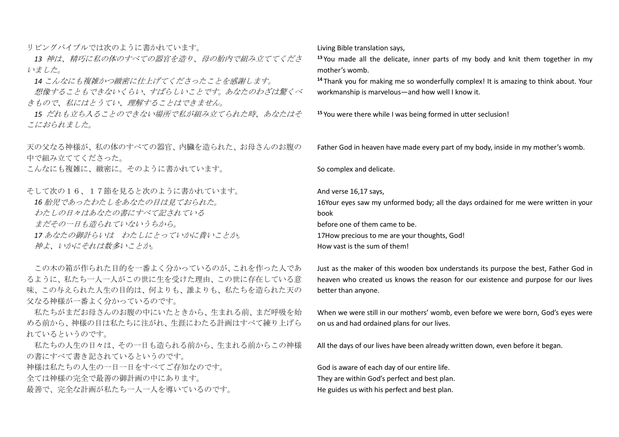リビングバイブルでは次のように書かれています。

*13* 神は、精巧に私の体のすべての器官を造り、母の胎内で組み立ててくださ いました。

*14* こんなにも複雑かつ緻密に仕上げてくださったことを感謝します。

想像することもできないくらい、すばらしいことです。あなたのわざは驚くべ きもので、私にはとうてい、理解することはできません。

*15* だれも立ち入ることのできない場所で私が組み立てられた時、あなたはそ こにおられました。

天の父なる神様が、私の体のすべての器官、内臓を造られた、お母さんのお腹の 中で組み立ててくださった。

こんなにも複雑に、緻密に。そのように書かれています。

そして次の16、17節を見ると次のように書かれています。

*16* 胎児であったわたしをあなたの目は見ておられた。

わたしの日々はあなたの書にすべて記されている

まだその一日も造られていないうちから。

*17* あなたの御計らいは わたしにとっていかに貴いことか。

神よ、いかにそれは数多いことか。

この木の箱が作られた目的を一番よく分かっているのが、これを作った人であ るように、私たち一人一人がこの世に生を受けた理由、この世に存在している意 味、この与えられた人生の目的は、何よりも、誰よりも、私たちを造られた天の 父なる神様が一番よく分かっているのです。

私たちがまだお母さんのお腹の中にいたときから、生まれる前、まだ呼吸を始 める前から、神様の目は私たちに注がれ、生涯にわたる計画はすべて練り上げら れているというのです。

私たちの人生の日々は、その一日も造られる前から、生まれる前からこの神様 の書にすべて書き記されているというのです。

神様は私たちの人生の一日一日をすべてご存知なのです。

全ては神様の完全で最善の御計画の中にあります。

最善で、完全な計画が私たち一人一人を導いているのです。

Living Bible translation says,

**<sup>13</sup>** You made all the delicate, inner parts of my body and knit them together in my mother's womb.

**<sup>14</sup>** Thank you for making me so wonderfully complex! It is amazing to think about. Your workmanship is marvelous—and how well I know it.

**<sup>15</sup>** You were there while I was being formed in utter seclusion!

Father God in heaven have made every part of my body, inside in my mother's womb.

So complex and delicate.

And verse 16,17 says,

16Your eyes saw my unformed body; all the days ordained for me were written in your book

before one of them came to be.

17How precious to me are your thoughts, God!

How vast is the sum of them!

Just as the maker of this wooden box understands its purpose the best, Father God in heaven who created us knows the reason for our existence and purpose for our lives better than anyone.

When we were still in our mothers' womb, even before we were born, God's eyes were on us and had ordained plans for our lives.

All the days of our lives have been already written down, even before it began.

God is aware of each day of our entire life. They are within God's perfect and best plan. He guides us with his perfect and best plan.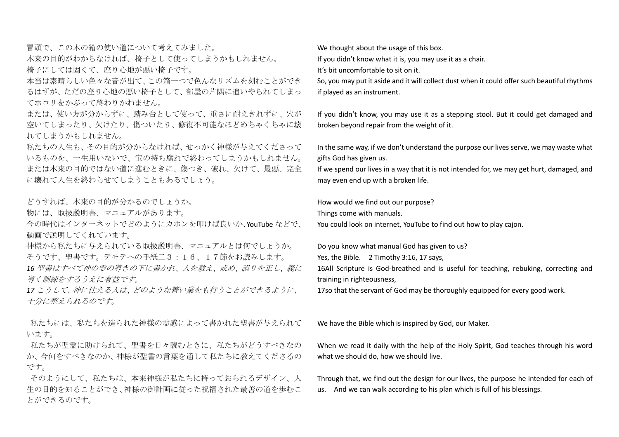冒頭で、この木の箱の使い道について考えてみました。 本来の目的がわからなければ、椅子として使ってしまうかもしれません。 椅子にしては固くて、座り心地が悪い椅子です。

本当は素晴らしい色々な音が出て、この箱一つで色んなリズムを刻むことができ るはずが、ただの座り心地の悪い椅子として、部屋の片隅に追いやられてしまっ てホコリをかぶって終わりかねません。

または、使い方が分からずに、踏み台として使って、重さに耐えきれずに、穴が 空いてしまったり、欠けたり、傷ついたり、修復不可能なほどめちゃくちゃに壊 れてしまうかもしれません。

私たちの人生も、その目的が分からなければ、せっかく神様が与えてくださって いるものを、一生用いないで、宝の持ち腐れで終わってしまうかもしれません。 または本来の目的ではない道に進むときに、傷つき、破れ、欠けて、最悪、完全 に壊れて人生を終わらせてしまうこともあるでしょう。

どうすれば、本来の目的が分かるのでしょうか。

物には、取扱説明書、マニュアルがあります。

今の時代はインターネットでどのようにカホンを叩けば良いか、YouTube などで、 動画で説明してくれています。

神様から私たちに与えられている取扱説明書、マニュアルとは何でしょうか。 そうです、聖書です。テモテへの手紙二3:16、17節をお読みします。

*16* 聖書はすべて神の霊の導きの下に書かれ、人を教え、戒め、誤りを正し、義に 導く訓練をするうえに有益です。

*17* こうして、神に仕える人は、どのような善い業をも行うことができるように、 十分に整えられるのです。

私たちには、私たちを造られた神様の霊感によって書かれた聖書が与えられて います。

私たちが聖霊に助けられて、聖書を日々読むときに、私たちがどうすべきなの か、今何をすべきなのか、神様が聖書の言葉を通して私たちに教えてくださるの です。

そのようにして、私たちは、本来神様が私たちに持っておられるデザイン、人 生の目的を知ることができ、神様の御計画に従った祝福された最善の道を歩むこ とができるのです。

We thought about the usage of this box.

If you didn't know what it is, you may use it as a chair.

It's bit uncomfortable to sit on it.

So, you may put it aside and it will collect dust when it could offer such beautiful rhythms if played as an instrument.

If you didn't know, you may use it as a stepping stool. But it could get damaged and broken beyond repair from the weight of it.

In the same way, if we don't understand the purpose our lives serve, we may waste what gifts God has given us.

If we spend our lives in a way that it is not intended for, we may get hurt, damaged, and may even end up with a broken life.

How would we find out our purpose?

Things come with manuals.

You could look on internet, YouTube to find out how to play cajon.

Do you know what manual God has given to us?

Yes, the Bible. 2 Timothy 3:16, 17 says,

16All Scripture is God-breathed and is useful for teaching, rebuking, correcting and training in righteousness,

17so that the servant of God may be thoroughly equipped for every good work.

We have the Bible which is inspired by God, our Maker.

When we read it daily with the help of the Holy Spirit, God teaches through his word what we should do, how we should live.

Through that, we find out the design for our lives, the purpose he intended for each of us. And we can walk according to his plan which is full of his blessings.